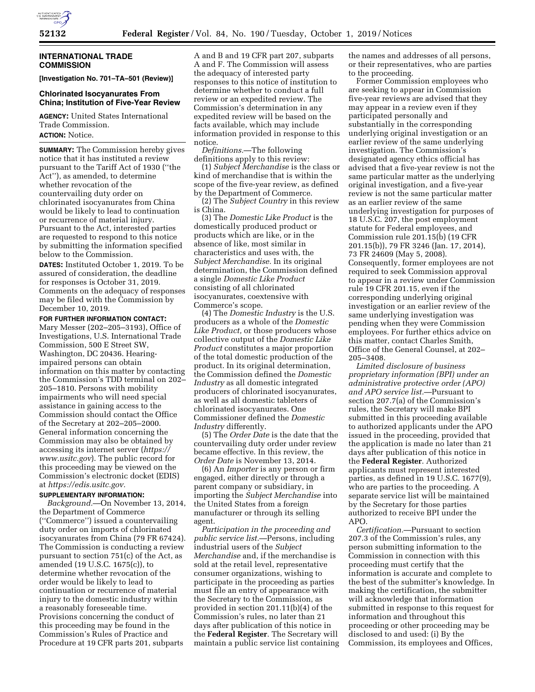# **INTERNATIONAL TRADE COMMISSION**

**[Investigation No. 701–TA–501 (Review)]** 

## **Chlorinated Isocyanurates From China; Institution of Five-Year Review**

**AGENCY:** United States International Trade Commission. **ACTION:** Notice.

**SUMMARY:** The Commission hereby gives notice that it has instituted a review pursuant to the Tariff Act of 1930 (''the Act''), as amended, to determine whether revocation of the countervailing duty order on chlorinated isocyanurates from China would be likely to lead to continuation or recurrence of material injury. Pursuant to the Act, interested parties are requested to respond to this notice by submitting the information specified below to the Commission.

**DATES:** Instituted October 1, 2019. To be assured of consideration, the deadline for responses is October 31, 2019. Comments on the adequacy of responses may be filed with the Commission by December 10, 2019.

**FOR FURTHER INFORMATION CONTACT:**  Mary Messer (202–205–3193), Office of Investigations, U.S. International Trade Commission, 500 E Street SW, Washington, DC 20436. Hearingimpaired persons can obtain information on this matter by contacting the Commission's TDD terminal on 202– 205–1810. Persons with mobility impairments who will need special assistance in gaining access to the Commission should contact the Office of the Secretary at 202–205–2000. General information concerning the Commission may also be obtained by accessing its internet server (*https:// www.usitc.gov*). The public record for this proceeding may be viewed on the Commission's electronic docket (EDIS) at *https://edis.usitc.gov.* 

## **SUPPLEMENTARY INFORMATION:**

*Background.*—On November 13, 2014, the Department of Commerce (''Commerce'') issued a countervailing duty order on imports of chlorinated isocyanurates from China (79 FR 67424). The Commission is conducting a review pursuant to section 751(c) of the Act, as amended (19 U.S.C. 1675(c)), to determine whether revocation of the order would be likely to lead to continuation or recurrence of material injury to the domestic industry within a reasonably foreseeable time. Provisions concerning the conduct of this proceeding may be found in the Commission's Rules of Practice and Procedure at 19 CFR parts 201, subparts

A and B and 19 CFR part 207, subparts A and F. The Commission will assess the adequacy of interested party responses to this notice of institution to determine whether to conduct a full review or an expedited review. The Commission's determination in any expedited review will be based on the facts available, which may include information provided in response to this notice.

*Definitions.*—The following definitions apply to this review:

(1) *Subject Merchandise* is the class or kind of merchandise that is within the scope of the five-year review, as defined by the Department of Commerce.

(2) The *Subject Country* in this review is China.

(3) The *Domestic Like Product* is the domestically produced product or products which are like, or in the absence of like, most similar in characteristics and uses with, the *Subject Merchandise.* In its original determination, the Commission defined a single *Domestic Like Product*  consisting of all chlorinated isocyanurates, coextensive with Commerce's scope.

(4) The *Domestic Industry* is the U.S. producers as a whole of the *Domestic Like Product,* or those producers whose collective output of the *Domestic Like Product* constitutes a major proportion of the total domestic production of the product. In its original determination, the Commission defined the *Domestic Industry* as all domestic integrated producers of chlorinated isocyanurates, as well as all domestic tableters of chlorinated isocyanurates. One Commissioner defined the *Domestic Industry* differently.

(5) The *Order Date* is the date that the countervailing duty order under review became effective. In this review, the *Order Date* is November 13, 2014.

(6) An *Importer* is any person or firm engaged, either directly or through a parent company or subsidiary, in importing the *Subject Merchandise* into the United States from a foreign manufacturer or through its selling agent.

*Participation in the proceeding and public service list.*—Persons, including industrial users of the *Subject Merchandise* and, if the merchandise is sold at the retail level, representative consumer organizations, wishing to participate in the proceeding as parties must file an entry of appearance with the Secretary to the Commission, as provided in section 201.11(b)(4) of the Commission's rules, no later than 21 days after publication of this notice in the **Federal Register**. The Secretary will maintain a public service list containing the names and addresses of all persons, or their representatives, who are parties to the proceeding.

Former Commission employees who are seeking to appear in Commission five-year reviews are advised that they may appear in a review even if they participated personally and substantially in the corresponding underlying original investigation or an earlier review of the same underlying investigation. The Commission's designated agency ethics official has advised that a five-year review is not the same particular matter as the underlying original investigation, and a five-year review is not the same particular matter as an earlier review of the same underlying investigation for purposes of 18 U.S.C. 207, the post employment statute for Federal employees, and Commission rule 201.15(b) (19 CFR 201.15(b)), 79 FR 3246 (Jan. 17, 2014), 73 FR 24609 (May 5, 2008). Consequently, former employees are not required to seek Commission approval to appear in a review under Commission rule 19 CFR 201.15, even if the corresponding underlying original investigation or an earlier review of the same underlying investigation was pending when they were Commission employees. For further ethics advice on this matter, contact Charles Smith, Office of the General Counsel, at 202– 205–3408.

*Limited disclosure of business proprietary information (BPI) under an administrative protective order (APO) and APO service list.*—Pursuant to section 207.7(a) of the Commission's rules, the Secretary will make BPI submitted in this proceeding available to authorized applicants under the APO issued in the proceeding, provided that the application is made no later than 21 days after publication of this notice in the **Federal Register**. Authorized applicants must represent interested parties, as defined in 19 U.S.C. 1677(9), who are parties to the proceeding. A separate service list will be maintained by the Secretary for those parties authorized to receive BPI under the APO.

*Certification.*—Pursuant to section 207.3 of the Commission's rules, any person submitting information to the Commission in connection with this proceeding must certify that the information is accurate and complete to the best of the submitter's knowledge. In making the certification, the submitter will acknowledge that information submitted in response to this request for information and throughout this proceeding or other proceeding may be disclosed to and used: (i) By the Commission, its employees and Offices,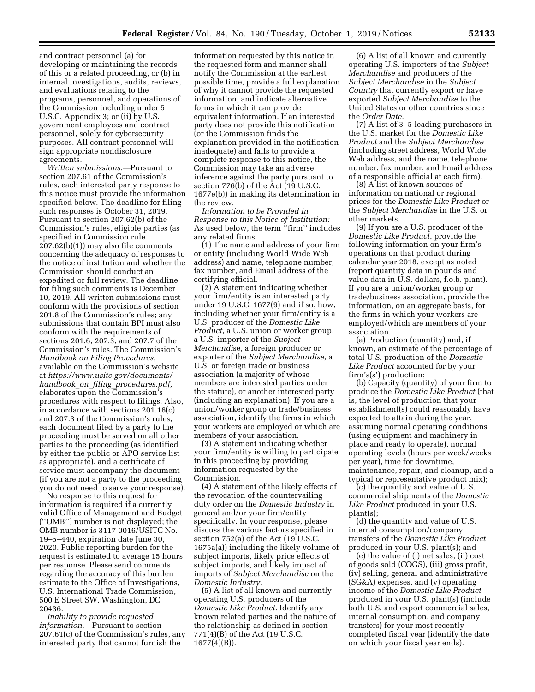and contract personnel (a) for developing or maintaining the records of this or a related proceeding, or (b) in internal investigations, audits, reviews, and evaluations relating to the programs, personnel, and operations of the Commission including under 5 U.S.C. Appendix 3; or (ii) by U.S. government employees and contract personnel, solely for cybersecurity purposes. All contract personnel will sign appropriate nondisclosure agreements.

*Written submissions.*—Pursuant to section 207.61 of the Commission's rules, each interested party response to this notice must provide the information specified below. The deadline for filing such responses is October 31, 2019. Pursuant to section 207.62(b) of the Commission's rules, eligible parties (as specified in Commission rule 207.62(b)(1)) may also file comments concerning the adequacy of responses to the notice of institution and whether the Commission should conduct an expedited or full review. The deadline for filing such comments is December 10, 2019. All written submissions must conform with the provisions of section 201.8 of the Commission's rules; any submissions that contain BPI must also conform with the requirements of sections 201.6, 207.3, and 207.7 of the Commission's rules. The Commission's *Handbook on Filing Procedures,*  available on the Commission's website at *https://www.usitc.gov/documents/ handbook*\_*on*\_*filing*\_*procedures.pdf,*  elaborates upon the Commission's procedures with respect to filings. Also, in accordance with sections 201.16(c) and 207.3 of the Commission's rules, each document filed by a party to the proceeding must be served on all other parties to the proceeding (as identified by either the public or APO service list as appropriate), and a certificate of service must accompany the document (if you are not a party to the proceeding you do not need to serve your response).

No response to this request for information is required if a currently valid Office of Management and Budget (''OMB'') number is not displayed; the OMB number is 3117 0016/USITC No. 19–5–440, expiration date June 30, 2020. Public reporting burden for the request is estimated to average 15 hours per response. Please send comments regarding the accuracy of this burden estimate to the Office of Investigations, U.S. International Trade Commission, 500 E Street SW, Washington, DC 20436.

*Inability to provide requested information.*—Pursuant to section 207.61(c) of the Commission's rules, any interested party that cannot furnish the

information requested by this notice in the requested form and manner shall notify the Commission at the earliest possible time, provide a full explanation of why it cannot provide the requested information, and indicate alternative forms in which it can provide equivalent information. If an interested party does not provide this notification (or the Commission finds the explanation provided in the notification inadequate) and fails to provide a complete response to this notice, the Commission may take an adverse inference against the party pursuant to section 776(b) of the Act (19 U.S.C. 1677e(b)) in making its determination in the review.

*Information to be Provided in Response to this Notice of Institution:*  As used below, the term ''firm'' includes any related firms.

(1) The name and address of your firm or entity (including World Wide Web address) and name, telephone number, fax number, and Email address of the certifying official.

(2) A statement indicating whether your firm/entity is an interested party under 19 U.S.C. 1677(9) and if so, how, including whether your firm/entity is a U.S. producer of the *Domestic Like Product,* a U.S. union or worker group, a U.S. importer of the *Subject Merchandi*se, a foreign producer or exporter of the *Subject Merchandise,* a U.S. or foreign trade or business association (a majority of whose members are interested parties under the statute), or another interested party (including an explanation). If you are a union/worker group or trade/business association, identify the firms in which your workers are employed or which are members of your association.

(3) A statement indicating whether your firm/entity is willing to participate in this proceeding by providing information requested by the Commission.

(4) A statement of the likely effects of the revocation of the countervailing duty order on the *Domestic Industry* in general and/or your firm/entity specifically. In your response, please discuss the various factors specified in section 752(a) of the Act (19 U.S.C. 1675a(a)) including the likely volume of subject imports, likely price effects of subject imports, and likely impact of imports of *Subject Merchandise* on the *Domestic Industry.* 

(5) A list of all known and currently operating U.S. producers of the *Domestic Like Product.* Identify any known related parties and the nature of the relationship as defined in section 771(4)(B) of the Act (19 U.S.C. 1677(4)(B)).

(6) A list of all known and currently operating U.S. importers of the *Subject Merchandise* and producers of the *Subject Merchandise* in the *Subject Country* that currently export or have exported *Subject Merchandise* to the United States or other countries since the *Order Date.* 

(7) A list of 3–5 leading purchasers in the U.S. market for the *Domestic Like Product* and the *Subject Merchandise*  (including street address, World Wide Web address, and the name, telephone number, fax number, and Email address of a responsible official at each firm).

(8) A list of known sources of information on national or regional prices for the *Domestic Like Product* or the *Subject Merchandise* in the U.S. or other markets.

(9) If you are a U.S. producer of the *Domestic Like Product,* provide the following information on your firm's operations on that product during calendar year 2018, except as noted (report quantity data in pounds and value data in U.S. dollars, f.o.b. plant). If you are a union/worker group or trade/business association, provide the information, on an aggregate basis, for the firms in which your workers are employed/which are members of your association.

(a) Production (quantity) and, if known, an estimate of the percentage of total U.S. production of the *Domestic Like Product* accounted for by your firm's(s') production;

(b) Capacity (quantity) of your firm to produce the *Domestic Like Product* (that is, the level of production that your establishment(s) could reasonably have expected to attain during the year, assuming normal operating conditions (using equipment and machinery in place and ready to operate), normal operating levels (hours per week/weeks per year), time for downtime, maintenance, repair, and cleanup, and a typical or representative product mix);

(c) the quantity and value of U.S. commercial shipments of the *Domestic Like Product* produced in your U.S. plant(s);

(d) the quantity and value of U.S. internal consumption/company transfers of the *Domestic Like Product*  produced in your U.S. plant(s); and

(e) the value of (i) net sales, (ii) cost of goods sold (COGS), (iii) gross profit, (iv) selling, general and administrative (SG&A) expenses, and (v) operating income of the *Domestic Like Product*  produced in your U.S. plant(s) (include both U.S. and export commercial sales, internal consumption, and company transfers) for your most recently completed fiscal year (identify the date on which your fiscal year ends).